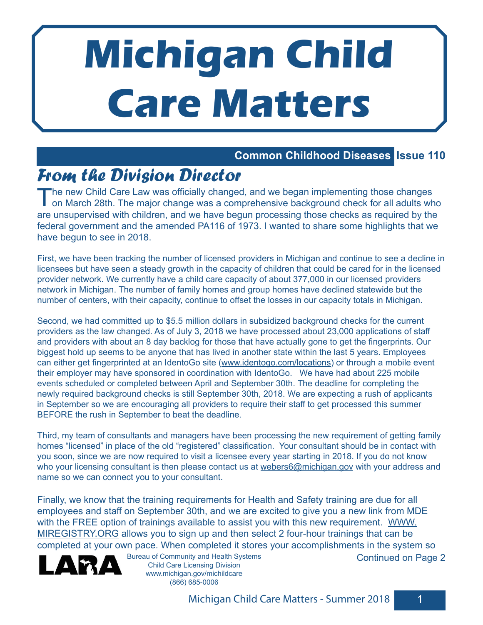# **Michigan Child Care Matters**

# **Common Childhood Diseases Issue 110**

# *From the Division Director*

The new Child Care Law was officially changed, and we began implementing those changes<br>on March 28th. The major change was a comprehensive background check for all adults who are unsupervised with children, and we have begun processing those checks as required by the federal government and the amended PA116 of 1973. I wanted to share some highlights that we have begun to see in 2018.

First, we have been tracking the number of licensed providers in Michigan and continue to see a decline in licensees but have seen a steady growth in the capacity of children that could be cared for in the licensed provider network. We currently have a child care capacity of about 377,000 in our licensed providers network in Michigan. The number of family homes and group homes have declined statewide but the number of centers, with their capacity, continue to offset the losses in our capacity totals in Michigan.

Second, we had committed up to \$5.5 million dollars in subsidized background checks for the current providers as the law changed. As of July 3, 2018 we have processed about 23,000 applications of staff and providers with about an 8 day backlog for those that have actually gone to get the fingerprints. Our biggest hold up seems to be anyone that has lived in another state within the last 5 years. Employees can either get fingerprinted at an IdentoGo site (www.identogo.com/locations) or through a mobile event their employer may have sponsored in coordination with IdentoGo. We have had about 225 mobile events scheduled or completed between April and September 30th. The deadline for completing the newly required background checks is still September 30th, 2018. We are expecting a rush of applicants in September so we are encouraging all providers to require their staff to get processed this summer BEFORE the rush in September to beat the deadline.

Third, my team of consultants and managers have been processing the new requirement of getting family homes "licensed" in place of the old "registered" classification. Your consultant should be in contact with you soon, since we are now required to visit a licensee every year starting in 2018. If you do not know who your licensing consultant is then please contact us at webers6@michigan.gov with your address and name so we can connect you to your consultant.

Finally, we know that the training requirements for Health and Safety training are due for all employees and staff on September 30th, and we are excited to give you a new link from MDE with the FREE option of trainings available to assist you with this new requirement. WWW. MIREGISTRY.ORG allows you to sign up and then select 2 four-hour trainings that can be completed at your own pace. When completed it stores your accomplishments in the system so



Bureau of Community and Health Systems Child Care Licensing Division www.michigan.gov/michildcare (866) 685-0006

Continued on Page 2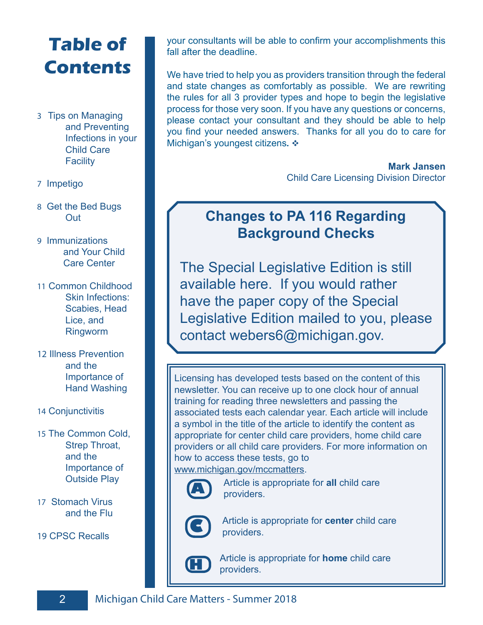# **Table of Contents**

- 3 Tips on Managing and Preventing Infections in your Child Care **Facility**
- 7 Impetigo
- 8 Get the Bed Bugs **Out**
- 9 Immunizations and Your Child Care Center
- 11 Common Childhood Skin Infections: Scabies, Head Lice, and Ringworm
- 12 Illness Prevention and the Importance of Hand Washing
- 14 Conjunctivitis
- 15 The Common Cold, Strep Throat, and the Importance of Outside Play
- 17 Stomach Virus and the Flu
- 19 CPSC Recalls

your consultants will be able to confirm your accomplishments this fall after the deadline.

We have tried to help you as providers transition through the federal and state changes as comfortably as possible. We are rewriting the rules for all 3 provider types and hope to begin the legislative process for those very soon. If you have any questions or concerns, please contact your consultant and they should be able to help you find your needed answers. Thanks for all you do to care for Michigan's youngest citizens. ❖

> **Mark Jansen** Child Care Licensing Division Director

# **Changes to PA 116 Regarding Background Checks**

The Special Legislative Edition is still available here. If you would rather have the paper copy of the Special Legislative Edition mailed to you, please contact webers6@michigan.gov.

Licensing has developed tests based on the content of this newsletter. You can receive up to one clock hour of annual training for reading three newsletters and passing the associated tests each calendar year. Each article will include a symbol in the title of the article to identify the content as appropriate for center child care providers, home child care providers or all child care providers. For more information on how to access these tests, go to www.michigan.gov/mccmatters.



**A** Article is appropriate for **all** child care providers.



Article is appropriate for **center** child care providers.



**H** Article is appropriate for **home** child care providers.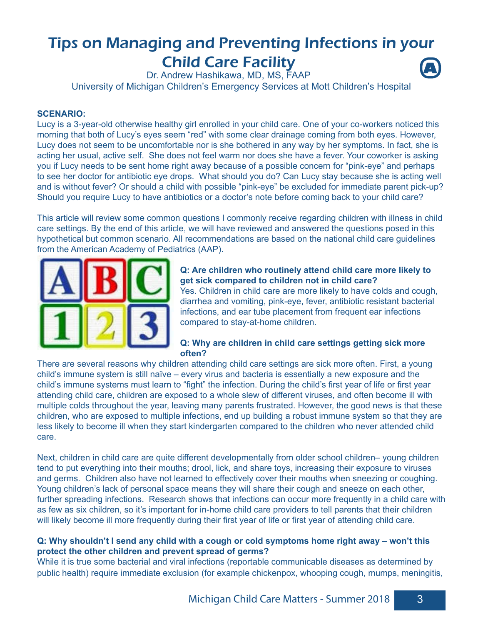# Tips on Managing and Preventing Infections in your Child Care Facility **A**

Dr. Andrew Hashikawa, MD, MS, FAAP

University of Michigan Children's Emergency Services at Mott Children's Hospital

## **SCENARIO:**

Lucy is a 3-year-old otherwise healthy girl enrolled in your child care. One of your co-workers noticed this morning that both of Lucy's eyes seem "red" with some clear drainage coming from both eyes. However, Lucy does not seem to be uncomfortable nor is she bothered in any way by her symptoms. In fact, she is acting her usual, active self. She does not feel warm nor does she have a fever. Your coworker is asking you if Lucy needs to be sent home right away because of a possible concern for "pink-eye" and perhaps to see her doctor for antibiotic eye drops. What should you do? Can Lucy stay because she is acting well and is without fever? Or should a child with possible "pink-eye" be excluded for immediate parent pick-up? Should you require Lucy to have antibiotics or a doctor's note before coming back to your child care?

This article will review some common questions I commonly receive regarding children with illness in child care settings. By the end of this article, we will have reviewed and answered the questions posed in this hypothetical but common scenario. All recommendations are based on the national child care guidelines from the American Academy of Pediatrics (AAP).



# **Q: Are children who routinely attend child care more likely to get sick compared to children not in child care?**

Yes. Children in child care are more likely to have colds and cough, diarrhea and vomiting, pink-eye, fever, antibiotic resistant bacterial infections, and ear tube placement from frequent ear infections compared to stay-at-home children.

# **Q: Why are children in child care settings getting sick more often?**

There are several reasons why children attending child care settings are sick more often. First, a young child's immune system is still naïve – every virus and bacteria is essentially a new exposure and the child's immune systems must learn to "fight" the infection. During the child's first year of life or first year attending child care, children are exposed to a whole slew of different viruses, and often become ill with multiple colds throughout the year, leaving many parents frustrated. However, the good news is that these children, who are exposed to multiple infections, end up building a robust immune system so that they are less likely to become ill when they start kindergarten compared to the children who never attended child care.

Next, children in child care are quite different developmentally from older school children– young children tend to put everything into their mouths; drool, lick, and share toys, increasing their exposure to viruses and germs. Children also have not learned to effectively cover their mouths when sneezing or coughing. Young children's lack of personal space means they will share their cough and sneeze on each other, further spreading infections. Research shows that infections can occur more frequently in a child care with as few as six children, so it's important for in-home child care providers to tell parents that their children will likely become ill more frequently during their first year of life or first year of attending child care.

## **Q: Why shouldn't I send any child with a cough or cold symptoms home right away – won't this protect the other children and prevent spread of germs?**

While it is true some bacterial and viral infections (reportable communicable diseases as determined by public health) require immediate exclusion (for example chickenpox, whooping cough, mumps, meningitis,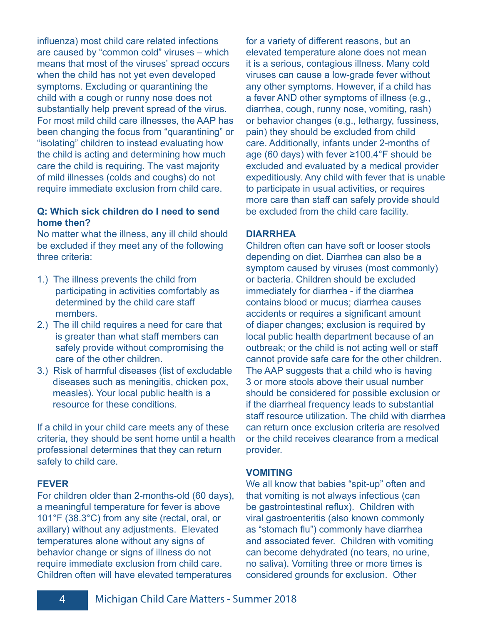influenza) most child care related infections are caused by "common cold" viruses – which means that most of the viruses' spread occurs when the child has not yet even developed symptoms. Excluding or quarantining the child with a cough or runny nose does not substantially help prevent spread of the virus. For most mild child care illnesses, the AAP has been changing the focus from "quarantining" or "isolating" children to instead evaluating how the child is acting and determining how much care the child is requiring. The vast majority of mild illnesses (colds and coughs) do not require immediate exclusion from child care.

# **Q: Which sick children do I need to send home then?**

No matter what the illness, any ill child should be excluded if they meet any of the following three criteria:

- 1.) The illness prevents the child from participating in activities comfortably as determined by the child care staff members.
- 2.) The ill child requires a need for care that is greater than what staff members can safely provide without compromising the care of the other children.
- 3.) Risk of harmful diseases (list of excludable diseases such as meningitis, chicken pox, measles). Your local public health is a resource for these conditions.

If a child in your child care meets any of these criteria, they should be sent home until a health professional determines that they can return safely to child care.

# **FEVER**

For children older than 2-months-old (60 days), a meaningful temperature for fever is above 101°F (38.3°C) from any site (rectal, oral, or axillary) without any adjustments. Elevated temperatures alone without any signs of behavior change or signs of illness do not require immediate exclusion from child care. Children often will have elevated temperatures

for a variety of different reasons, but an elevated temperature alone does not mean it is a serious, contagious illness. Many cold viruses can cause a low-grade fever without any other symptoms. However, if a child has a fever AND other symptoms of illness (e.g., diarrhea, cough, runny nose, vomiting, rash) or behavior changes (e.g., lethargy, fussiness, pain) they should be excluded from child care. Additionally, infants under 2-months of age (60 days) with fever ≥100.4°F should be excluded and evaluated by a medical provider expeditiously. Any child with fever that is unable to participate in usual activities, or requires more care than staff can safely provide should be excluded from the child care facility.

# **DIARRHEA**

Children often can have soft or looser stools depending on diet. Diarrhea can also be a symptom caused by viruses (most commonly) or bacteria. Children should be excluded immediately for diarrhea - if the diarrhea contains blood or mucus; diarrhea causes accidents or requires a significant amount of diaper changes; exclusion is required by local public health department because of an outbreak; or the child is not acting well or staff cannot provide safe care for the other children. The AAP suggests that a child who is having 3 or more stools above their usual number should be considered for possible exclusion or if the diarrheal frequency leads to substantial staff resource utilization. The child with diarrhea can return once exclusion criteria are resolved or the child receives clearance from a medical provider.

## **VOMITING**

We all know that babies "spit-up" often and that vomiting is not always infectious (can be gastrointestinal reflux). Children with viral gastroenteritis (also known commonly as "stomach flu") commonly have diarrhea and associated fever. Children with vomiting can become dehydrated (no tears, no urine, no saliva). Vomiting three or more times is considered grounds for exclusion. Other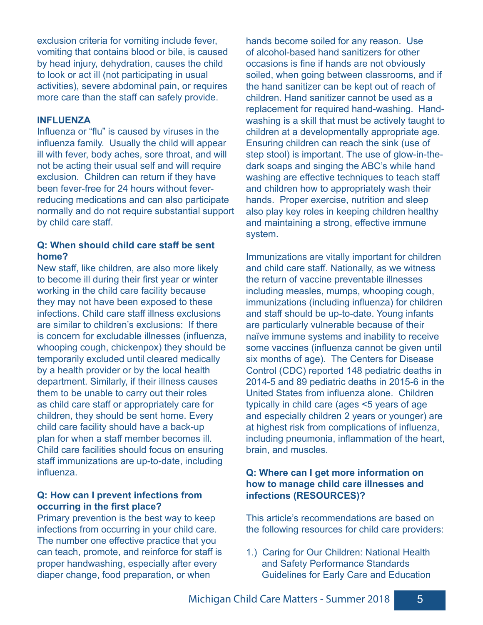exclusion criteria for vomiting include fever, vomiting that contains blood or bile, is caused by head injury, dehydration, causes the child to look or act ill (not participating in usual activities), severe abdominal pain, or requires more care than the staff can safely provide.

## **INFLUENZA**

Influenza or "flu" is caused by viruses in the influenza family. Usually the child will appear ill with fever, body aches, sore throat, and will not be acting their usual self and will require exclusion. Children can return if they have been fever-free for 24 hours without feverreducing medications and can also participate normally and do not require substantial support by child care staff.

# **Q: When should child care staff be sent home?**

New staff, like children, are also more likely to become ill during their first year or winter working in the child care facility because they may not have been exposed to these infections. Child care staff illness exclusions are similar to children's exclusions: If there is concern for excludable illnesses (influenza, whooping cough, chickenpox) they should be temporarily excluded until cleared medically by a health provider or by the local health department. Similarly, if their illness causes them to be unable to carry out their roles as child care staff or appropriately care for children, they should be sent home. Every child care facility should have a back-up plan for when a staff member becomes ill. Child care facilities should focus on ensuring staff immunizations are up-to-date, including influenza.

# **Q: How can I prevent infections from occurring in the first place?**

Primary prevention is the best way to keep infections from occurring in your child care. The number one effective practice that you can teach, promote, and reinforce for staff is proper handwashing, especially after every diaper change, food preparation, or when

hands become soiled for any reason. Use of alcohol-based hand sanitizers for other occasions is fine if hands are not obviously soiled, when going between classrooms, and if the hand sanitizer can be kept out of reach of children. Hand sanitizer cannot be used as a replacement for required hand-washing. Handwashing is a skill that must be actively taught to children at a developmentally appropriate age. Ensuring children can reach the sink (use of step stool) is important. The use of glow-in-thedark soaps and singing the ABC's while hand washing are effective techniques to teach staff and children how to appropriately wash their hands. Proper exercise, nutrition and sleep also play key roles in keeping children healthy and maintaining a strong, effective immune system.

Immunizations are vitally important for children and child care staff. Nationally, as we witness the return of vaccine preventable illnesses including measles, mumps, whooping cough, immunizations (including influenza) for children and staff should be up-to-date. Young infants are particularly vulnerable because of their naïve immune systems and inability to receive some vaccines (influenza cannot be given until six months of age). The Centers for Disease Control (CDC) reported 148 pediatric deaths in 2014-5 and 89 pediatric deaths in 2015-6 in the United States from influenza alone. Children typically in child care (ages <5 years of age and especially children 2 years or younger) are at highest risk from complications of influenza, including pneumonia, inflammation of the heart, brain, and muscles.

# **Q: Where can I get more information on how to manage child care illnesses and infections (RESOURCES)?**

This article's recommendations are based on the following resources for child care providers:

1.) Caring for Our Children: National Health and Safety Performance Standards Guidelines for Early Care and Education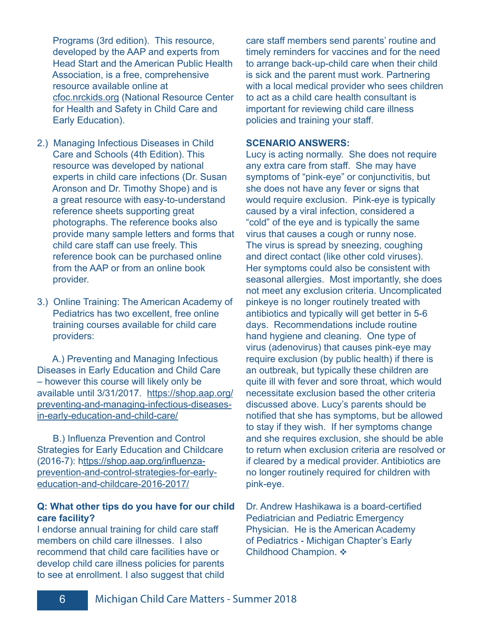Programs (3rd edition). This resource, developed by the AAP and experts from Head Start and the American Public Health Association, is a free, comprehensive resource available online at cfoc.nrckids.org (National Resource Center for Health and Safety in Child Care and Early Education).

- 2.) Managing Infectious Diseases in Child Care and Schools (4th Edition). This resource was developed by national experts in child care infections (Dr. Susan Aronson and Dr. Timothy Shope) and is a great resource with easy-to-understand reference sheets supporting great photographs. The reference books also provide many sample letters and forms that child care staff can use freely. This reference book can be purchased online from the AAP or from an online book provider.
- 3.) Online Training: The American Academy of Pediatrics has two excellent, free online training courses available for child care providers:

 A.) Preventing and Managing Infectious Diseases in Early Education and Child Care – however this course will likely only be available until 3/31/2017. https://shop.aap.org/ preventing-and-managing-infectious-diseasesin-early-education-and-child-care/

 B.) Influenza Prevention and Control Strategies for Early Education and Childcare (2016-7): https://shop.aap.org/influenzaprevention-and-control-strategies-for-earlyeducation-and-childcare-2016-2017/

# **Q: What other tips do you have for our child care facility?**

I endorse annual training for child care staff members on child care illnesses. I also recommend that child care facilities have or develop child care illness policies for parents to see at enrollment. I also suggest that child

care staff members send parents' routine and timely reminders for vaccines and for the need to arrange back-up-child care when their child is sick and the parent must work. Partnering with a local medical provider who sees children to act as a child care health consultant is important for reviewing child care illness policies and training your staff.

#### **SCENARIO ANSWERS:**

Lucy is acting normally. She does not require any extra care from staff. She may have symptoms of "pink-eye" or conjunctivitis, but she does not have any fever or signs that would require exclusion. Pink-eye is typically caused by a viral infection, considered a "cold" of the eye and is typically the same virus that causes a cough or runny nose. The virus is spread by sneezing, coughing and direct contact (like other cold viruses). Her symptoms could also be consistent with seasonal allergies. Most importantly, she does not meet any exclusion criteria. Uncomplicated pinkeye is no longer routinely treated with antibiotics and typically will get better in 5-6 days. Recommendations include routine hand hygiene and cleaning. One type of virus (adenovirus) that causes pink-eye may require exclusion (by public health) if there is an outbreak, but typically these children are quite ill with fever and sore throat, which would necessitate exclusion based the other criteria discussed above. Lucy's parents should be notified that she has symptoms, but be allowed to stay if they wish. If her symptoms change and she requires exclusion, she should be able to return when exclusion criteria are resolved or if cleared by a medical provider. Antibiotics are no longer routinely required for children with pink-eye.

Dr. Andrew Hashikawa is a board-certified Pediatrician and Pediatric Emergency Physician. He is the American Academy of Pediatrics - Michigan Chapter's Early Childhood Champion. ❖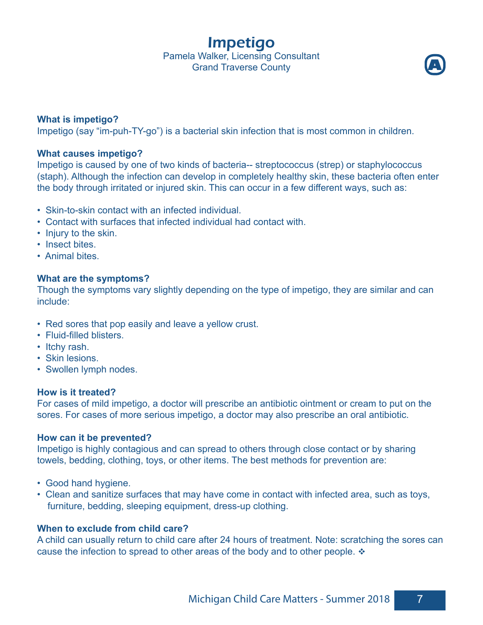Impetigo Pamela Walker, Licensing Consultant **Grand Traverse County** 



# **What is impetigo?**

Impetigo (say "im-puh-TY-go") is a bacterial skin infection that is most common in children.

# **What causes impetigo?**

Impetigo is caused by one of two kinds of bacteria-- streptococcus (strep) or staphylococcus (staph). Although the infection can develop in completely healthy skin, these bacteria often enter the body through irritated or injured skin. This can occur in a few different ways, such as:

- Skin-to-skin contact with an infected individual.
- Contact with surfaces that infected individual had contact with.
- Injury to the skin.
- Insect bites.
- Animal bites.

# **What are the symptoms?**

Though the symptoms vary slightly depending on the type of impetigo, they are similar and can include:

- Red sores that pop easily and leave a yellow crust.
- Fluid-filled blisters.
- Itchy rash.
- Skin lesions.
- Swollen lymph nodes.

## **How is it treated?**

For cases of mild impetigo, a doctor will prescribe an antibiotic ointment or cream to put on the sores. For cases of more serious impetigo, a doctor may also prescribe an oral antibiotic.

## **How can it be prevented?**

Impetigo is highly contagious and can spread to others through close contact or by sharing towels, bedding, clothing, toys, or other items. The best methods for prevention are:

- Good hand hygiene.
- Clean and sanitize surfaces that may have come in contact with infected area, such as toys, furniture, bedding, sleeping equipment, dress-up clothing.

# **When to exclude from child care?**

A child can usually return to child care after 24 hours of treatment. Note: scratching the sores can cause the infection to spread to other areas of the body and to other people.  $\cdot$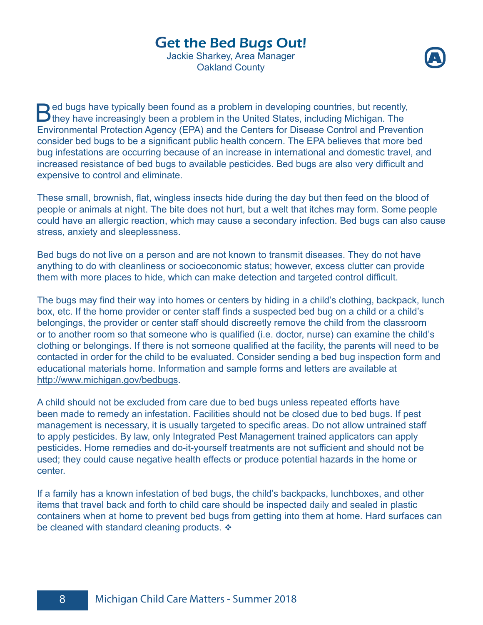# Get the Bed Bugs Out!

Jackie Sharkey, Area Manager Oakland County



**B**ed bugs have typically been found as a problem in developing countries, but recently,<br>they have increasingly been a problem in the United States, including Michigan. The Environmental Protection Agency (EPA) and the Centers for Disease Control and Prevention consider bed bugs to be a significant public health concern. The EPA believes that more bed bug infestations are occurring because of an increase in international and domestic travel, and increased resistance of bed bugs to available pesticides. Bed bugs are also very difficult and expensive to control and eliminate.

These small, brownish, flat, wingless insects hide during the day but then feed on the blood of people or animals at night. The bite does not hurt, but a welt that itches may form. Some people could have an allergic reaction, which may cause a secondary infection. Bed bugs can also cause stress, anxiety and sleeplessness.

Bed bugs do not live on a person and are not known to transmit diseases. They do not have anything to do with cleanliness or socioeconomic status; however, excess clutter can provide them with more places to hide, which can make detection and targeted control difficult.

The bugs may find their way into homes or centers by hiding in a child's clothing, backpack, lunch box, etc. If the home provider or center staff finds a suspected bed bug on a child or a child's belongings, the provider or center staff should discreetly remove the child from the classroom or to another room so that someone who is qualified (i.e. doctor, nurse) can examine the child's clothing or belongings. If there is not someone qualified at the facility, the parents will need to be contacted in order for the child to be evaluated. Consider sending a bed bug inspection form and educational materials home. Information and sample forms and letters are available at http://www.michigan.gov/bedbugs.

A child should not be excluded from care due to bed bugs unless repeated efforts have been made to remedy an infestation. Facilities should not be closed due to bed bugs. If pest management is necessary, it is usually targeted to specific areas. Do not allow untrained staff to apply pesticides. By law, only Integrated Pest Management trained applicators can apply pesticides. Home remedies and do-it-yourself treatments are not sufficient and should not be used; they could cause negative health effects or produce potential hazards in the home or center.

If a family has a known infestation of bed bugs, the child's backpacks, lunchboxes, and other items that travel back and forth to child care should be inspected daily and sealed in plastic containers when at home to prevent bed bugs from getting into them at home. Hard surfaces can be cleaned with standard cleaning products.  $\cdot$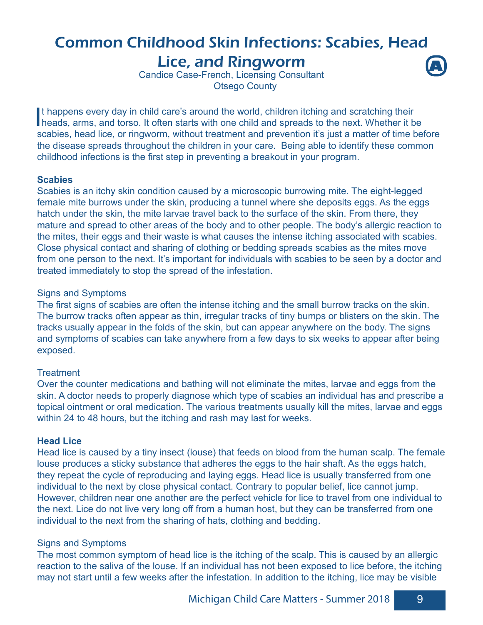# Common Childhood Skin Infections: Scabies, Head Lice, and Ringworm **A**

Candice Case-French, Licensing Consultant Otsego County

It happens every day in child care's around the world, children itching and scratching their<br>heads, arms, and torso. It often starts with one child and spreads to the next. Whether it be t happens every day in child care's around the world, children itching and scratching their scabies, head lice, or ringworm, without treatment and prevention it's just a matter of time before the disease spreads throughout the children in your care. Being able to identify these common childhood infections is the first step in preventing a breakout in your program.

# **Scabies**

Scabies is an itchy skin condition caused by a microscopic burrowing mite. The eight-legged female mite burrows under the skin, producing a tunnel where she deposits eggs. As the eggs hatch under the skin, the mite larvae travel back to the surface of the skin. From there, they mature and spread to other areas of the body and to other people. The body's allergic reaction to the mites, their eggs and their waste is what causes the intense itching associated with scabies. Close physical contact and sharing of clothing or bedding spreads scabies as the mites move from one person to the next. It's important for individuals with scabies to be seen by a doctor and treated immediately to stop the spread of the infestation.

# Signs and Symptoms

The first signs of scabies are often the intense itching and the small burrow tracks on the skin. The burrow tracks often appear as thin, irregular tracks of tiny bumps or blisters on the skin. The tracks usually appear in the folds of the skin, but can appear anywhere on the body. The signs and symptoms of scabies can take anywhere from a few days to six weeks to appear after being exposed.

# **Treatment**

Over the counter medications and bathing will not eliminate the mites, larvae and eggs from the skin. A doctor needs to properly diagnose which type of scabies an individual has and prescribe a topical ointment or oral medication. The various treatments usually kill the mites, larvae and eggs within 24 to 48 hours, but the itching and rash may last for weeks.

# **Head Lice**

Head lice is caused by a tiny insect (louse) that feeds on blood from the human scalp. The female louse produces a sticky substance that adheres the eggs to the hair shaft. As the eggs hatch, they repeat the cycle of reproducing and laying eggs. Head lice is usually transferred from one individual to the next by close physical contact. Contrary to popular belief, lice cannot jump. However, children near one another are the perfect vehicle for lice to travel from one individual to the next. Lice do not live very long off from a human host, but they can be transferred from one individual to the next from the sharing of hats, clothing and bedding.

# Signs and Symptoms

The most common symptom of head lice is the itching of the scalp. This is caused by an allergic reaction to the saliva of the louse. If an individual has not been exposed to lice before, the itching may not start until a few weeks after the infestation. In addition to the itching, lice may be visible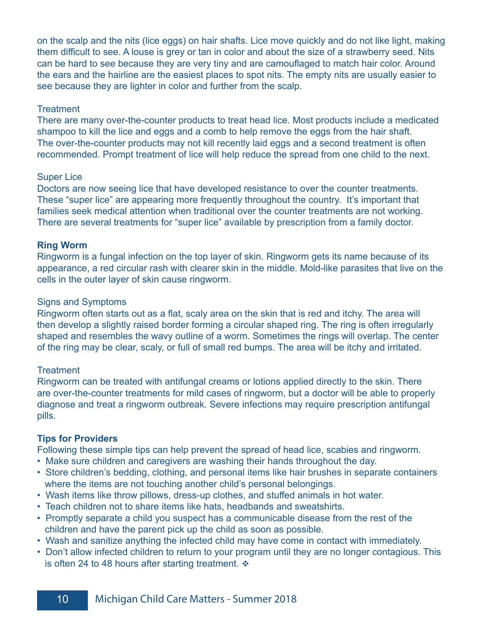on the scalp and the nits (lice eggs) on hair shafts. Lice move quickly and do not like light, making them difficult to see. A louse is grey or tan in color and about the size of a strawberry seed. Nits can be hard to see because they are very tiny and are camouflaged to match hair color. Around the ears and the hairline are the easiest places to spot nits. The empty nits are usually easier to see because they are lighter in color and further from the scalp.

# **Treatment**

There are many over-the-counter products to treat head lice. Most products include a medicated shampoo to kill the lice and eggs and a comb to help remove the eggs from the hair shaft. The over-the-counter products may not kill recently laid eggs and a second treatment is often recommended. Prompt treatment of lice will help reduce the spread from one child to the next.

#### Super Lice

Doctors are now seeing lice that have developed resistance to over the counter treatments. These "super lice" are appearing more frequently throughout the country. It's important that families seek medical attention when traditional over the counter treatments are not working. There are several treatments for "super lice" available by prescription from a family doctor.

# **Ring Worm**

Ringworm is a fungal infection on the top layer of skin. Ringworm gets its name because of its appearance, a red circular rash with clearer skin in the middle. Mold-like parasites that live on the cells in the outer layer of skin cause ringworm.

#### Signs and Symptoms

Ringworm often starts out as a flat, scaly area on the skin that is red and itchy. The area will then develop a slightly raised border forming a circular shaped ring. The ring is often irregularly shaped and resembles the wavy outline of a worm. Sometimes the rings will overlap. The center of the ring may be clear, scaly, or full of small red bumps. The area will be itchy and irritated.

# **Treatment**

Ringworm can be treated with antifungal creams or lotions applied directly to the skin. There are over-the-counter treatments for mild cases of ringworm, but a doctor will be able to properly diagnose and treat a ringworm outbreak. Severe infections may require prescription antifungal pills.

# **Tips for Providers**

Following these simple tips can help prevent the spread of head lice, scabies and ringworm.

- Make sure children and caregivers are washing their hands throughout the day.
- Store children's bedding, clothing, and personal items like hair brushes in separate containers where the items are not touching another child's personal belongings.
- Wash items like throw pillows, dress-up clothes, and stuffed animals in hot water.
- Teach children not to share items like hats, headbands and sweatshirts.
- Promptly separate a child you suspect has a communicable disease from the rest of the children and have the parent pick up the child as soon as possible.
- Wash and sanitize anything the infected child may have come in contact with immediately.
- Don't allow infected children to return to your program until they are no longer contagious. This is often 24 to 48 hours after starting treatment.  $\cdot$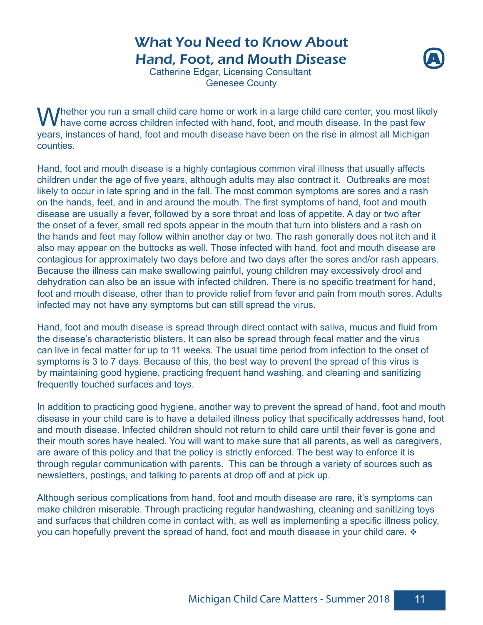# What You Need to Know About Hand, Foot, and Mouth Disease



Catherine Edgar, Licensing Consultant Genesee County

 $\bigvee$ hether you run a small child care home or work in a large child care center, you most likely have come across children infected with hand, foot, and mouth disease. In the past few years, instances of hand, foot and mouth disease have been on the rise in almost all Michigan counties.

Hand, foot and mouth disease is a highly contagious common viral illness that usually affects children under the age of five years, although adults may also contract it. Outbreaks are most likely to occur in late spring and in the fall. The most common symptoms are sores and a rash on the hands, feet, and in and around the mouth. The first symptoms of hand, foot and mouth disease are usually a fever, followed by a sore throat and loss of appetite. A day or two after the onset of a fever, small red spots appear in the mouth that turn into blisters and a rash on the hands and feet may follow within another day or two. The rash generally does not itch and it also may appear on the buttocks as well. Those infected with hand, foot and mouth disease are contagious for approximately two days before and two days after the sores and/or rash appears. Because the illness can make swallowing painful, young children may excessively drool and dehydration can also be an issue with infected children. There is no specific treatment for hand, foot and mouth disease, other than to provide relief from fever and pain from mouth sores. Adults infected may not have any symptoms but can still spread the virus.

Hand, foot and mouth disease is spread through direct contact with saliva, mucus and fluid from the disease's characteristic blisters. It can also be spread through fecal matter and the virus can live in fecal matter for up to 11 weeks. The usual time period from infection to the onset of symptoms is 3 to 7 days. Because of this, the best way to prevent the spread of this virus is by maintaining good hygiene, practicing frequent hand washing, and cleaning and sanitizing frequently touched surfaces and toys.

In addition to practicing good hygiene, another way to prevent the spread of hand, foot and mouth disease in your child care is to have a detailed illness policy that specifically addresses hand, foot and mouth disease. Infected children should not return to child care until their fever is gone and their mouth sores have healed. You will want to make sure that all parents, as well as caregivers, are aware of this policy and that the policy is strictly enforced. The best way to enforce it is through regular communication with parents. This can be through a variety of sources such as newsletters, postings, and talking to parents at drop off and at pick up.

Although serious complications from hand, foot and mouth disease are rare, it's symptoms can make children miserable. Through practicing regular handwashing, cleaning and sanitizing toys and surfaces that children come in contact with, as well as implementing a specific illness policy, you can hopefully prevent the spread of hand, foot and mouth disease in your child care.  $\cdot\cdot$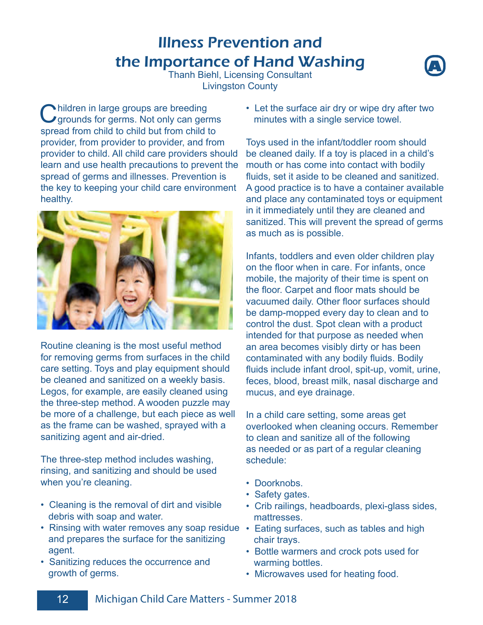# Illness Prevention and the Importance of Hand Washing



Thanh Biehl, Licensing Consultant Livingston County

Children in large groups are breeding<br>
Grounds for germs. Not only can germs spread from child to child but from child to provider, from provider to provider, and from provider to child. All child care providers should learn and use health precautions to prevent the spread of germs and illnesses. Prevention is the key to keeping your child care environment healthy.



Routine cleaning is the most useful method for removing germs from surfaces in the child care setting. Toys and play equipment should be cleaned and sanitized on a weekly basis. Legos, for example, are easily cleaned using the three-step method. A wooden puzzle may be more of a challenge, but each piece as well as the frame can be washed, sprayed with a sanitizing agent and air-dried.

The three-step method includes washing, rinsing, and sanitizing and should be used when you're cleaning.

- Cleaning is the removal of dirt and visible debris with soap and water.
- Rinsing with water removes any soap residue Eating surfaces, such as tables and high and prepares the surface for the sanitizing agent.
- Sanitizing reduces the occurrence and growth of germs.

• Let the surface air dry or wipe dry after two minutes with a single service towel.

Toys used in the infant/toddler room should be cleaned daily. If a toy is placed in a child's mouth or has come into contact with bodily fluids, set it aside to be cleaned and sanitized. A good practice is to have a container available and place any contaminated toys or equipment in it immediately until they are cleaned and sanitized. This will prevent the spread of germs as much as is possible.

Infants, toddlers and even older children play on the floor when in care. For infants, once mobile, the majority of their time is spent on the floor. Carpet and floor mats should be vacuumed daily. Other floor surfaces should be damp-mopped every day to clean and to control the dust. Spot clean with a product intended for that purpose as needed when an area becomes visibly dirty or has been contaminated with any bodily fluids. Bodily fluids include infant drool, spit-up, vomit, urine, feces, blood, breast milk, nasal discharge and mucus, and eye drainage.

In a child care setting, some areas get overlooked when cleaning occurs. Remember to clean and sanitize all of the following as needed or as part of a regular cleaning schedule:

- Doorknobs.
- Safety gates.
- Crib railings, headboards, plexi-glass sides, **mattresses**
- chair trays.
- Bottle warmers and crock pots used for warming bottles.
- Microwaves used for heating food.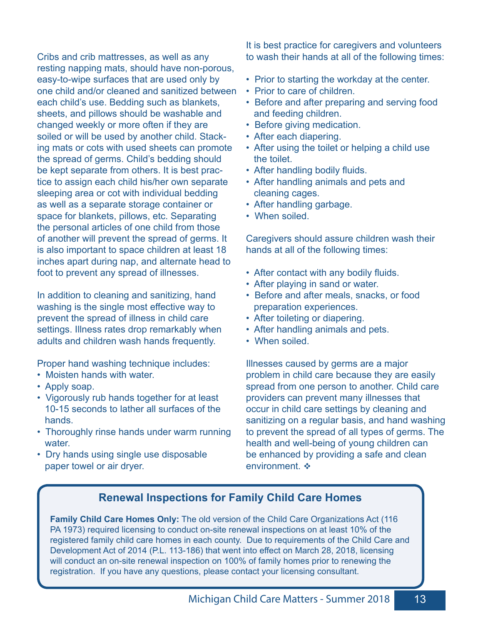Cribs and crib mattresses, as well as any resting napping mats, should have non-porous, easy-to-wipe surfaces that are used only by one child and/or cleaned and sanitized between each child's use. Bedding such as blankets, sheets, and pillows should be washable and changed weekly or more often if they are soiled or will be used by another child. Stacking mats or cots with used sheets can promote the spread of germs. Child's bedding should be kept separate from others. It is best practice to assign each child his/her own separate sleeping area or cot with individual bedding as well as a separate storage container or space for blankets, pillows, etc. Separating the personal articles of one child from those of another will prevent the spread of germs. It is also important to space children at least 18 inches apart during nap, and alternate head to foot to prevent any spread of illnesses.

In addition to cleaning and sanitizing, hand washing is the single most effective way to prevent the spread of illness in child care settings. Illness rates drop remarkably when adults and children wash hands frequently.

Proper hand washing technique includes:

- Moisten hands with water.
- Apply soap.
- Vigorously rub hands together for at least 10-15 seconds to lather all surfaces of the hands.
- Thoroughly rinse hands under warm running water.
- Dry hands using single use disposable paper towel or air dryer.

It is best practice for caregivers and volunteers to wash their hands at all of the following times:

- Prior to starting the workday at the center.
- Prior to care of children.
- Before and after preparing and serving food and feeding children.
- Before giving medication.
- After each diapering.
- After using the toilet or helping a child use the toilet.
- After handling bodily fluids.
- After handling animals and pets and cleaning cages.
- After handling garbage.
- When soiled

Caregivers should assure children wash their hands at all of the following times:

- After contact with any bodily fluids.
- After playing in sand or water.
- Before and after meals, snacks, or food preparation experiences.
- After toileting or diapering.
- After handling animals and pets.
- When soiled.

Illnesses caused by germs are a major problem in child care because they are easily spread from one person to another. Child care providers can prevent many illnesses that occur in child care settings by cleaning and sanitizing on a regular basis, and hand washing to prevent the spread of all types of germs. The health and well-being of young children can be enhanced by providing a safe and clean environment. ❖

# **Renewal Inspections for Family Child Care Homes**

**Family Child Care Homes Only:** The old version of the Child Care Organizations Act (116 PA 1973) required licensing to conduct on-site renewal inspections on at least 10% of the registered family child care homes in each county. Due to requirements of the Child Care and Development Act of 2014 (P.L. 113-186) that went into effect on March 28, 2018, licensing will conduct an on-site renewal inspection on 100% of family homes prior to renewing the registration. If you have any questions, please contact your licensing consultant.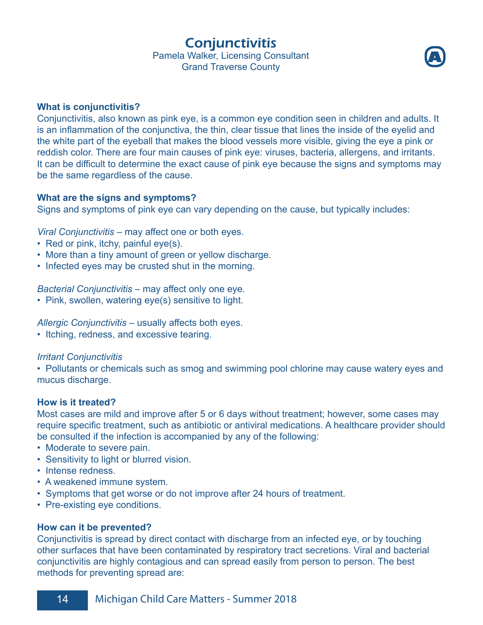Conjunctivitis

Pamela Walker, Licensing Consultant Grand Traverse County

**A**



Conjunctivitis, also known as pink eye, is a common eye condition seen in children and adults. It is an inflammation of the conjunctiva, the thin, clear tissue that lines the inside of the eyelid and the white part of the eyeball that makes the blood vessels more visible, giving the eye a pink or reddish color. There are four main causes of pink eye: viruses, bacteria, allergens, and irritants. It can be difficult to determine the exact cause of pink eye because the signs and symptoms may be the same regardless of the cause.

# **What are the signs and symptoms?**

Signs and symptoms of pink eye can vary depending on the cause, but typically includes:

*Viral Conjunctivitis* – may affect one or both eyes.

- Red or pink, itchy, painful eye(s).
- More than a tiny amount of green or yellow discharge.
- Infected eyes may be crusted shut in the morning.

*Bacterial Conjunctivitis* – may affect only one eye.

• Pink, swollen, watering eye(s) sensitive to light.

*Allergic Conjunctivitis* – usually affects both eyes.

• Itching, redness, and excessive tearing.

# *Irritant Conjunctivitis*

• Pollutants or chemicals such as smog and swimming pool chlorine may cause watery eyes and mucus discharge.

# **How is it treated?**

Most cases are mild and improve after 5 or 6 days without treatment; however, some cases may require specific treatment, such as antibiotic or antiviral medications. A healthcare provider should be consulted if the infection is accompanied by any of the following:

- Moderate to severe pain.
- Sensitivity to light or blurred vision.
- Intense redness.
- A weakened immune system.
- Symptoms that get worse or do not improve after 24 hours of treatment.
- Pre-existing eye conditions.

## **How can it be prevented?**

Conjunctivitis is spread by direct contact with discharge from an infected eye, or by touching other surfaces that have been contaminated by respiratory tract secretions. Viral and bacterial conjunctivitis are highly contagious and can spread easily from person to person. The best methods for preventing spread are: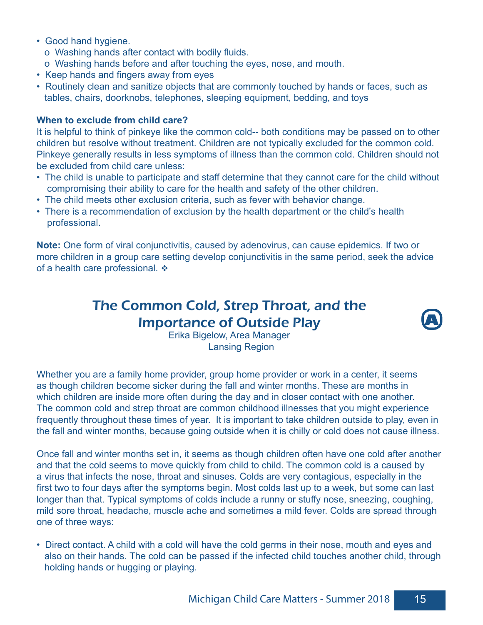- Good hand hygiene.
	- o Washing hands after contact with bodily fluids.
	- o Washing hands before and after touching the eyes, nose, and mouth.
- Keep hands and fingers away from eyes
- Routinely clean and sanitize objects that are commonly touched by hands or faces, such as tables, chairs, doorknobs, telephones, sleeping equipment, bedding, and toys

# **When to exclude from child care?**

It is helpful to think of pinkeye like the common cold-- both conditions may be passed on to other children but resolve without treatment. Children are not typically excluded for the common cold. Pinkeye generally results in less symptoms of illness than the common cold. Children should not be excluded from child care unless:

- The child is unable to participate and staff determine that they cannot care for the child without compromising their ability to care for the health and safety of the other children.
- The child meets other exclusion criteria, such as fever with behavior change.
- There is a recommendation of exclusion by the health department or the child's health professional.

**Note:** One form of viral conjunctivitis, caused by adenovirus, can cause epidemics. If two or more children in a group care setting develop conjunctivitis in the same period, seek the advice of a health care professional.  $\cdot\cdot\cdot$ 

# The Common Cold, Strep Throat, and the Importance of Outside Play



Erika Bigelow, Area Manager Lansing Region

Whether you are a family home provider, group home provider or work in a center, it seems as though children become sicker during the fall and winter months. These are months in which children are inside more often during the day and in closer contact with one another. The common cold and strep throat are common childhood illnesses that you might experience frequently throughout these times of year. It is important to take children outside to play, even in the fall and winter months, because going outside when it is chilly or cold does not cause illness.

Once fall and winter months set in, it seems as though children often have one cold after another and that the cold seems to move quickly from child to child. The common cold is a caused by a virus that infects the nose, throat and sinuses. Colds are very contagious, especially in the first two to four days after the symptoms begin. Most colds last up to a week, but some can last longer than that. Typical symptoms of colds include a runny or stuffy nose, sneezing, coughing, mild sore throat, headache, muscle ache and sometimes a mild fever. Colds are spread through one of three ways:

• Direct contact. A child with a cold will have the cold germs in their nose, mouth and eyes and also on their hands. The cold can be passed if the infected child touches another child, through holding hands or hugging or playing.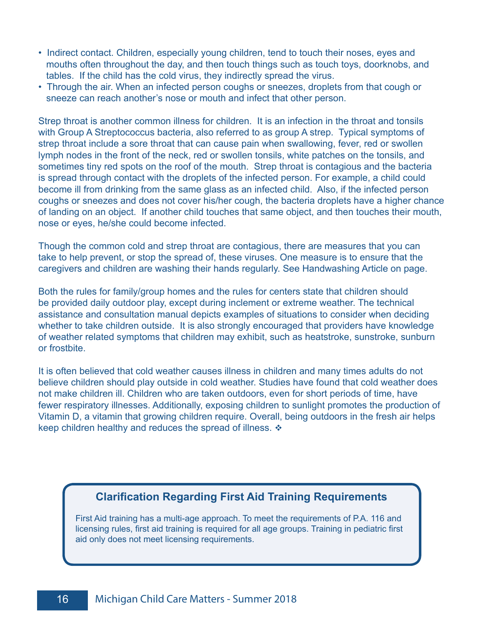- Indirect contact. Children, especially young children, tend to touch their noses, eyes and mouths often throughout the day, and then touch things such as touch toys, doorknobs, and tables. If the child has the cold virus, they indirectly spread the virus.
- Through the air. When an infected person coughs or sneezes, droplets from that cough or sneeze can reach another's nose or mouth and infect that other person.

Strep throat is another common illness for children. It is an infection in the throat and tonsils with Group A Streptococcus bacteria, also referred to as group A strep. Typical symptoms of strep throat include a sore throat that can cause pain when swallowing, fever, red or swollen lymph nodes in the front of the neck, red or swollen tonsils, white patches on the tonsils, and sometimes tiny red spots on the roof of the mouth. Strep throat is contagious and the bacteria is spread through contact with the droplets of the infected person. For example, a child could become ill from drinking from the same glass as an infected child. Also, if the infected person coughs or sneezes and does not cover his/her cough, the bacteria droplets have a higher chance of landing on an object. If another child touches that same object, and then touches their mouth, nose or eyes, he/she could become infected.

Though the common cold and strep throat are contagious, there are measures that you can take to help prevent, or stop the spread of, these viruses. One measure is to ensure that the caregivers and children are washing their hands regularly. See Handwashing Article on page.

Both the rules for family/group homes and the rules for centers state that children should be provided daily outdoor play, except during inclement or extreme weather. The technical assistance and consultation manual depicts examples of situations to consider when deciding whether to take children outside. It is also strongly encouraged that providers have knowledge of weather related symptoms that children may exhibit, such as heatstroke, sunstroke, sunburn or frostbite.

It is often believed that cold weather causes illness in children and many times adults do not believe children should play outside in cold weather. Studies have found that cold weather does not make children ill. Children who are taken outdoors, even for short periods of time, have fewer respiratory illnesses. Additionally, exposing children to sunlight promotes the production of Vitamin D, a vitamin that growing children require. Overall, being outdoors in the fresh air helps keep children healthy and reduces the spread of illness.  $\triangleleft$ 

# **Clarification Regarding First Aid Training Requirements**

First Aid training has a multi-age approach. To meet the requirements of P.A. 116 and licensing rules, first aid training is required for all age groups. Training in pediatric first aid only does not meet licensing requirements.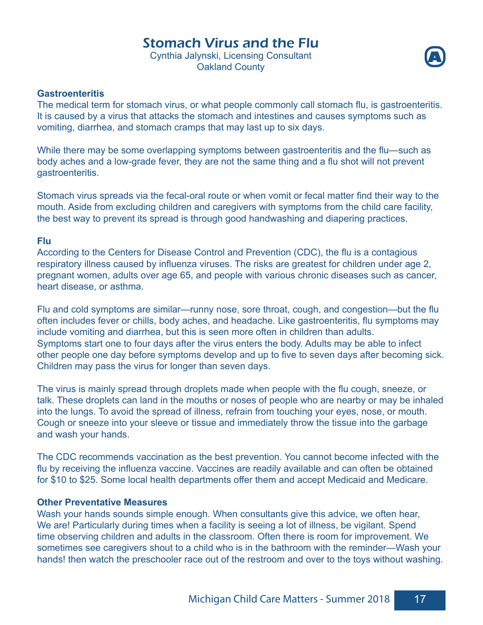# Stomach Virus and the Flu

Cynthia Jalynski, Licensing Consultant Oakland County



# **Gastroenteritis**

The medical term for stomach virus, or what people commonly call stomach flu, is gastroenteritis. It is caused by a virus that attacks the stomach and intestines and causes symptoms such as vomiting, diarrhea, and stomach cramps that may last up to six days.

While there may be some overlapping symptoms between gastroenteritis and the flu—such as body aches and a low-grade fever, they are not the same thing and a flu shot will not prevent gastroenteritis.

Stomach virus spreads via the fecal-oral route or when vomit or fecal matter find their way to the mouth. Aside from excluding children and caregivers with symptoms from the child care facility, the best way to prevent its spread is through good handwashing and diapering practices.

#### **Flu**

According to the Centers for Disease Control and Prevention (CDC), the flu is a contagious respiratory illness caused by influenza viruses. The risks are greatest for children under age 2, pregnant women, adults over age 65, and people with various chronic diseases such as cancer, heart disease, or asthma.

Flu and cold symptoms are similar—runny nose, sore throat, cough, and congestion—but the flu often includes fever or chills, body aches, and headache. Like gastroenteritis, flu symptoms may include vomiting and diarrhea, but this is seen more often in children than adults. Symptoms start one to four days after the virus enters the body. Adults may be able to infect other people one day before symptoms develop and up to five to seven days after becoming sick. Children may pass the virus for longer than seven days.

The virus is mainly spread through droplets made when people with the flu cough, sneeze, or talk. These droplets can land in the mouths or noses of people who are nearby or may be inhaled into the lungs. To avoid the spread of illness, refrain from touching your eyes, nose, or mouth. Cough or sneeze into your sleeve or tissue and immediately throw the tissue into the garbage and wash your hands.

The CDC recommends vaccination as the best prevention. You cannot become infected with the flu by receiving the influenza vaccine. Vaccines are readily available and can often be obtained for \$10 to \$25. Some local health departments offer them and accept Medicaid and Medicare.

#### **Other Preventative Measures**

Wash your hands sounds simple enough. When consultants give this advice, we often hear, We are! Particularly during times when a facility is seeing a lot of illness, be vigilant. Spend time observing children and adults in the classroom. Often there is room for improvement. We sometimes see caregivers shout to a child who is in the bathroom with the reminder—Wash your hands! then watch the preschooler race out of the restroom and over to the toys without washing.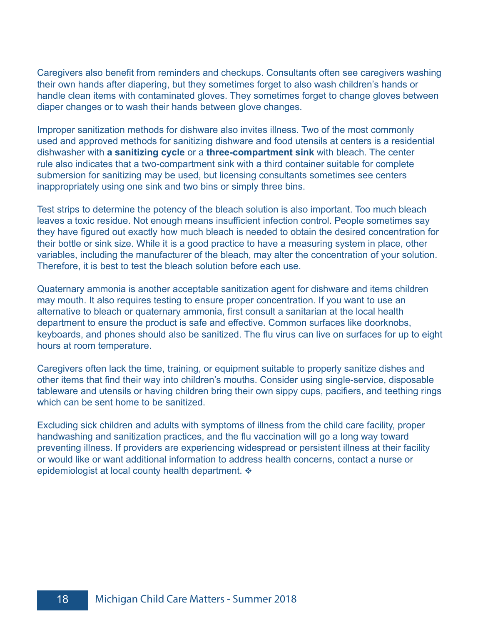Caregivers also benefit from reminders and checkups. Consultants often see caregivers washing their own hands after diapering, but they sometimes forget to also wash children's hands or handle clean items with contaminated gloves. They sometimes forget to change gloves between diaper changes or to wash their hands between glove changes.

Improper sanitization methods for dishware also invites illness. Two of the most commonly used and approved methods for sanitizing dishware and food utensils at centers is a residential dishwasher with **a sanitizing cycle** or a **three-compartment sink** with bleach. The center rule also indicates that a two-compartment sink with a third container suitable for complete submersion for sanitizing may be used, but licensing consultants sometimes see centers inappropriately using one sink and two bins or simply three bins.

Test strips to determine the potency of the bleach solution is also important. Too much bleach leaves a toxic residue. Not enough means insufficient infection control. People sometimes say they have figured out exactly how much bleach is needed to obtain the desired concentration for their bottle or sink size. While it is a good practice to have a measuring system in place, other variables, including the manufacturer of the bleach, may alter the concentration of your solution. Therefore, it is best to test the bleach solution before each use.

Quaternary ammonia is another acceptable sanitization agent for dishware and items children may mouth. It also requires testing to ensure proper concentration. If you want to use an alternative to bleach or quaternary ammonia, first consult a sanitarian at the local health department to ensure the product is safe and effective. Common surfaces like doorknobs, keyboards, and phones should also be sanitized. The flu virus can live on surfaces for up to eight hours at room temperature.

Caregivers often lack the time, training, or equipment suitable to properly sanitize dishes and other items that find their way into children's mouths. Consider using single-service, disposable tableware and utensils or having children bring their own sippy cups, pacifiers, and teething rings which can be sent home to be sanitized.

Excluding sick children and adults with symptoms of illness from the child care facility, proper handwashing and sanitization practices, and the flu vaccination will go a long way toward preventing illness. If providers are experiencing widespread or persistent illness at their facility or would like or want additional information to address health concerns, contact a nurse or epidemiologist at local county health department.  $\cdot$